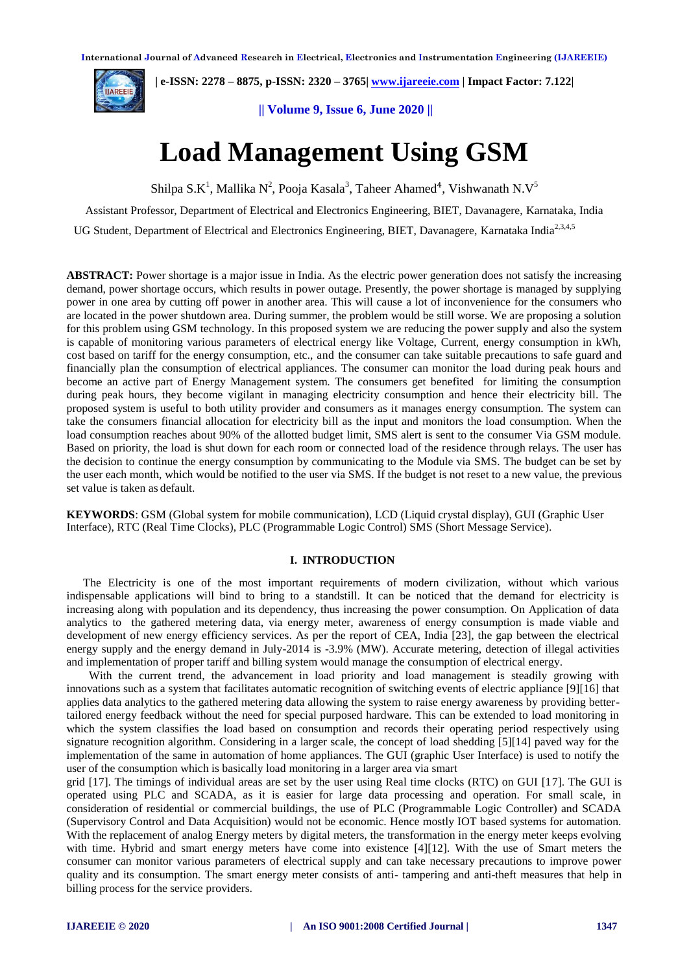

 **| e-ISSN: 2278 – 8875, p-ISSN: 2320 – 3765[| www.ijareeie.com](http://www.ijareeie.com/) | Impact Factor: 7.122|** 

**|| Volume 9, Issue 6, June 2020 ||** 

# **Load Management Using GSM**

Shilpa S.K<sup>1</sup>, Mallika N<sup>2</sup>, Pooja Kasala<sup>3</sup>, Taheer Ahamed<sup>4</sup>, Vishwanath N.V<sup>5</sup>

Assistant Professor, Department of Electrical and Electronics Engineering, BIET, Davanagere, Karnataka, India

UG Student, Department of Electrical and Electronics Engineering, BIET, Davanagere, Karnataka India<sup>2,3,4,5</sup>

**ABSTRACT:** Power shortage is a major issue in India. As the electric power generation does not satisfy the increasing demand, power shortage occurs, which results in power outage. Presently, the power shortage is managed by supplying power in one area by cutting off power in another area. This will cause a lot of inconvenience for the consumers who are located in the power shutdown area. During summer, the problem would be still worse. We are proposing a solution for this problem using GSM technology. In this proposed system we are reducing the power supply and also the system is capable of monitoring various parameters of electrical energy like Voltage, Current, energy consumption in kWh, cost based on tariff for the energy consumption, etc., and the consumer can take suitable precautions to safe guard and financially plan the consumption of electrical appliances. The consumer can monitor the load during peak hours and become an active part of Energy Management system. The consumers get benefited for limiting the consumption during peak hours, they become vigilant in managing electricity consumption and hence their electricity bill. The proposed system is useful to both utility provider and consumers as it manages energy consumption. The system can take the consumers financial allocation for electricity bill as the input and monitors the load consumption. When the load consumption reaches about 90% of the allotted budget limit, SMS alert is sent to the consumer Via GSM module. Based on priority, the load is shut down for each room or connected load of the residence through relays. The user has the decision to continue the energy consumption by communicating to the Module via SMS. The budget can be set by the user each month, which would be notified to the user via SMS. If the budget is not reset to a new value, the previous set value is taken as default.

**KEYWORDS**: GSM (Global system for mobile communication), LCD (Liquid crystal display), GUI (Graphic User Interface), RTC (Real Time Clocks), PLC (Programmable Logic Control) SMS (Short Message Service).

#### **I. INTRODUCTION**

The Electricity is one of the most important requirements of modern civilization, without which various indispensable applications will bind to bring to a standstill. It can be noticed that the demand for electricity is increasing along with population and its dependency, thus increasing the power consumption. On Application of data analytics to the gathered metering data, via energy meter, awareness of energy consumption is made viable and development of new energy efficiency services. As per the report of CEA, India [23], the gap between the electrical energy supply and the energy demand in July-2014 is -3.9% (MW). Accurate metering, detection of illegal activities and implementation of proper tariff and billing system would manage the consumption of electrical energy.

With the current trend, the advancement in load priority and load management is steadily growing with innovations such as a system that facilitates automatic recognition of switching events of electric appliance [9][16] that applies data analytics to the gathered metering data allowing the system to raise energy awareness by providing bettertailored energy feedback without the need for special purposed hardware. This can be extended to load monitoring in which the system classifies the load based on consumption and records their operating period respectively using signature recognition algorithm. Considering in a larger scale, the concept of load shedding [5][14] paved way for the implementation of the same in automation of home appliances. The GUI (graphic User Interface) is used to notify the user of the consumption which is basically load monitoring in a larger area via smart

grid [17]. The timings of individual areas are set by the user using Real time clocks (RTC) on GUI [17]. The GUI is operated using PLC and SCADA, as it is easier for large data processing and operation. For small scale, in consideration of residential or commercial buildings, the use of PLC (Programmable Logic Controller) and SCADA (Supervisory Control and Data Acquisition) would not be economic. Hence mostly IOT based systems for automation. With the replacement of analog Energy meters by digital meters, the transformation in the energy meter keeps evolving with time. Hybrid and smart energy meters have come into existence [4][12]. With the use of Smart meters the consumer can monitor various parameters of electrical supply and can take necessary precautions to improve power quality and its consumption. The smart energy meter consists of anti- tampering and anti-theft measures that help in billing process for the service providers.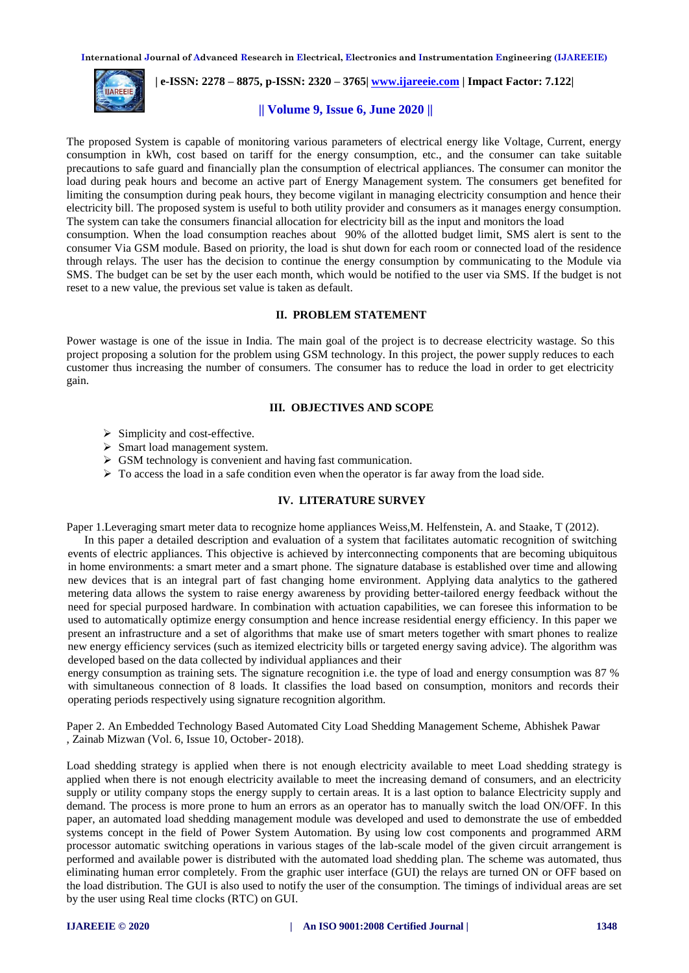

 **| e-ISSN: 2278 – 8875, p-ISSN: 2320 – 3765[| www.ijareeie.com](http://www.ijareeie.com/) | Impact Factor: 7.122|** 

# **|| Volume 9, Issue 6, June 2020 ||**

The proposed System is capable of monitoring various parameters of electrical energy like Voltage, Current, energy consumption in kWh, cost based on tariff for the energy consumption, etc., and the consumer can take suitable precautions to safe guard and financially plan the consumption of electrical appliances. The consumer can monitor the load during peak hours and become an active part of Energy Management system. The consumers get benefited for limiting the consumption during peak hours, they become vigilant in managing electricity consumption and hence their electricity bill. The proposed system is useful to both utility provider and consumers as it manages energy consumption. The system can take the consumers financial allocation for electricity bill as the input and monitors the load

consumption. When the load consumption reaches about 90% of the allotted budget limit, SMS alert is sent to the consumer Via GSM module. Based on priority, the load is shut down for each room or connected load of the residence through relays. The user has the decision to continue the energy consumption by communicating to the Module via SMS. The budget can be set by the user each month, which would be notified to the user via SMS. If the budget is not reset to a new value, the previous set value is taken as default.

# **II. PROBLEM STATEMENT**

Power wastage is one of the issue in India. The main goal of the project is to decrease electricity wastage. So this project proposing a solution for the problem using GSM technology. In this project, the power supply reduces to each customer thus increasing the number of consumers. The consumer has to reduce the load in order to get electricity gain.

# **III. OBJECTIVES AND SCOPE**

- $\triangleright$  Simplicity and cost-effective.
- $\triangleright$  Smart load management system.
- $\triangleright$  GSM technology is convenient and having fast communication.
- $\triangleright$  To access the load in a safe condition even when the operator is far away from the load side.

#### **IV. LITERATURE SURVEY**

Paper 1.Leveraging smart meter data to recognize home appliances Weiss,M. Helfenstein, A. and Staake, T (2012).

In this paper a detailed description and evaluation of a system that facilitates automatic recognition of switching events of electric appliances. This objective is achieved by interconnecting components that are becoming ubiquitous in home environments: a smart meter and a smart phone. The signature database is established over time and allowing new devices that is an integral part of fast changing home environment. Applying data analytics to the gathered metering data allows the system to raise energy awareness by providing better-tailored energy feedback without the need for special purposed hardware. In combination with actuation capabilities, we can foresee this information to be used to automatically optimize energy consumption and hence increase residential energy efficiency. In this paper we present an infrastructure and a set of algorithms that make use of smart meters together with smart phones to realize new energy efficiency services (such as itemized electricity bills or targeted energy saving advice). The algorithm was developed based on the data collected by individual appliances and their

energy consumption as training sets. The signature recognition i.e. the type of load and energy consumption was 87 % with simultaneous connection of 8 loads. It classifies the load based on consumption, monitors and records their operating periods respectively using signature recognition algorithm.

Paper 2. An Embedded Technology Based Automated City Load Shedding Management Scheme, Abhishek Pawar , Zainab Mizwan (Vol. 6, Issue 10, October- 2018).

Load shedding strategy is applied when there is not enough electricity available to meet Load shedding strategy is applied when there is not enough electricity available to meet the increasing demand of consumers, and an electricity supply or utility company stops the energy supply to certain areas. It is a last option to balance Electricity supply and demand. The process is more prone to hum an errors as an operator has to manually switch the load ON/OFF. In this paper, an automated load shedding management module was developed and used to demonstrate the use of embedded systems concept in the field of Power System Automation. By using low cost components and programmed ARM processor automatic switching operations in various stages of the lab-scale model of the given circuit arrangement is performed and available power is distributed with the automated load shedding plan. The scheme was automated, thus eliminating human error completely. From the graphic user interface (GUI) the relays are turned ON or OFF based on the load distribution. The GUI is also used to notify the user of the consumption. The timings of individual areas are set by the user using Real time clocks (RTC) on GUI.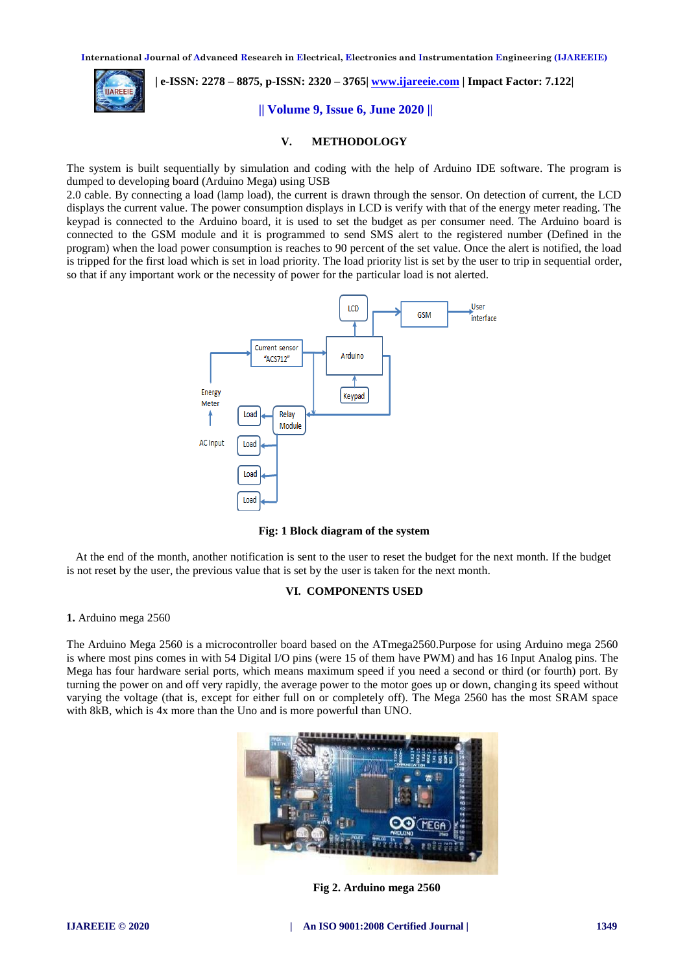

# **| e-ISSN: 2278 – 8875, p-ISSN: 2320 – 3765[| www.ijareeie.com](http://www.ijareeie.com/) | Impact Factor: 7.122|**

# **|| Volume 9, Issue 6, June 2020 ||**

# **V. METHODOLOGY**

The system is built sequentially by simulation and coding with the help of Arduino IDE software. The program is dumped to developing board (Arduino Mega) using USB

2.0 cable. By connecting a load (lamp load), the current is drawn through the sensor. On detection of current, the LCD displays the current value. The power consumption displays in LCD is verify with that of the energy meter reading. The keypad is connected to the Arduino board, it is used to set the budget as per consumer need. The Arduino board is connected to the GSM module and it is programmed to send SMS alert to the registered number (Defined in the program) when the load power consumption is reaches to 90 percent of the set value. Once the alert is notified, the load is tripped for the first load which is set in load priority. The load priority list is set by the user to trip in sequential order, so that if any important work or the necessity of power for the particular load is not alerted.



**Fig: 1 Block diagram of the system**

At the end of the month, another notification is sent to the user to reset the budget for the next month. If the budget is not reset by the user, the previous value that is set by the user is taken for the next month.

#### **VI. COMPONENTS USED**

#### **1.** Arduino mega 2560

The Arduino Mega 2560 is a microcontroller board based on the ATmega2560.Purpose for using Arduino mega 2560 is where most pins comes in with 54 Digital I/O pins (were 15 of them have PWM) and has 16 Input Analog pins. The Mega has four hardware serial ports, which means maximum speed if you need a second or third (or fourth) port. By turning the power on and off very rapidly, the average power to the motor goes up or down, changing its speed without varying the voltage (that is, except for either full on or completely off). The Mega 2560 has the most SRAM space with 8kB, which is 4x more than the Uno and is more powerful than UNO.



 **Fig 2. Arduino mega 2560**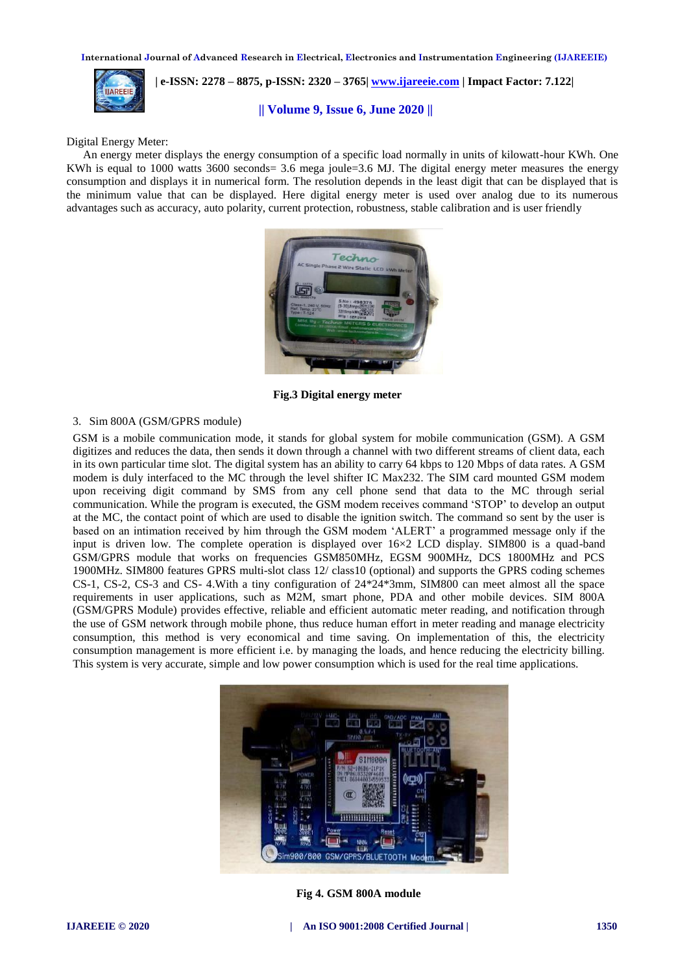

 **| e-ISSN: 2278 – 8875, p-ISSN: 2320 – 3765[| www.ijareeie.com](http://www.ijareeie.com/) | Impact Factor: 7.122|** 

# **|| Volume 9, Issue 6, June 2020 ||**

Digital Energy Meter:

An energy meter displays the energy consumption of a specific load normally in units of kilowatt-hour KWh. One KWh is equal to 1000 watts  $3600$  seconds=  $3.6$  mega joule=3.6 MJ. The digital energy meter measures the energy consumption and displays it in numerical form. The resolution depends in the least digit that can be displayed that is the minimum value that can be displayed. Here digital energy meter is used over analog due to its numerous advantages such as accuracy, auto polarity, current protection, robustness, stable calibration and is user friendly



 **Fig.3 Digital energy meter**

#### 3. Sim 800A (GSM/GPRS module)

GSM is a mobile communication mode, it stands for global system for mobile communication (GSM). A GSM digitizes and reduces the data, then sends it down through a channel with two different streams of client data, each in its own particular time slot. The digital system has an ability to carry 64 kbps to 120 Mbps of data rates. A GSM modem is duly interfaced to the MC through the level shifter IC Max232. The SIM card mounted GSM modem upon receiving digit command by SMS from any cell phone send that data to the MC through serial communication. While the program is executed, the GSM modem receives command 'STOP' to develop an output at the MC, the contact point of which are used to disable the ignition switch. The command so sent by the user is based on an intimation received by him through the GSM modem 'ALERT' a programmed message only if the input is driven low. The complete operation is displayed over 16×2 LCD display. SIM800 is a quad-band GSM/GPRS module that works on frequencies GSM850MHz, EGSM 900MHz, DCS 1800MHz and PCS 1900MHz. SIM800 features GPRS multi-slot class 12/ class10 (optional) and supports the GPRS coding schemes CS-1, CS-2, CS-3 and CS- 4.With a tiny configuration of 24\*24\*3mm, SIM800 can meet almost all the space requirements in user applications, such as M2M, smart phone, PDA and other mobile devices. SIM 800A (GSM/GPRS Module) provides effective, reliable and efficient automatic meter reading, and notification through the use of GSM network through mobile phone, thus reduce human effort in meter reading and manage electricity consumption, this method is very economical and time saving. On implementation of this, the electricity consumption management is more efficient i.e. by managing the loads, and hence reducing the electricity billing. This system is very accurate, simple and low power consumption which is used for the real time applications.



 **Fig 4. GSM 800A module**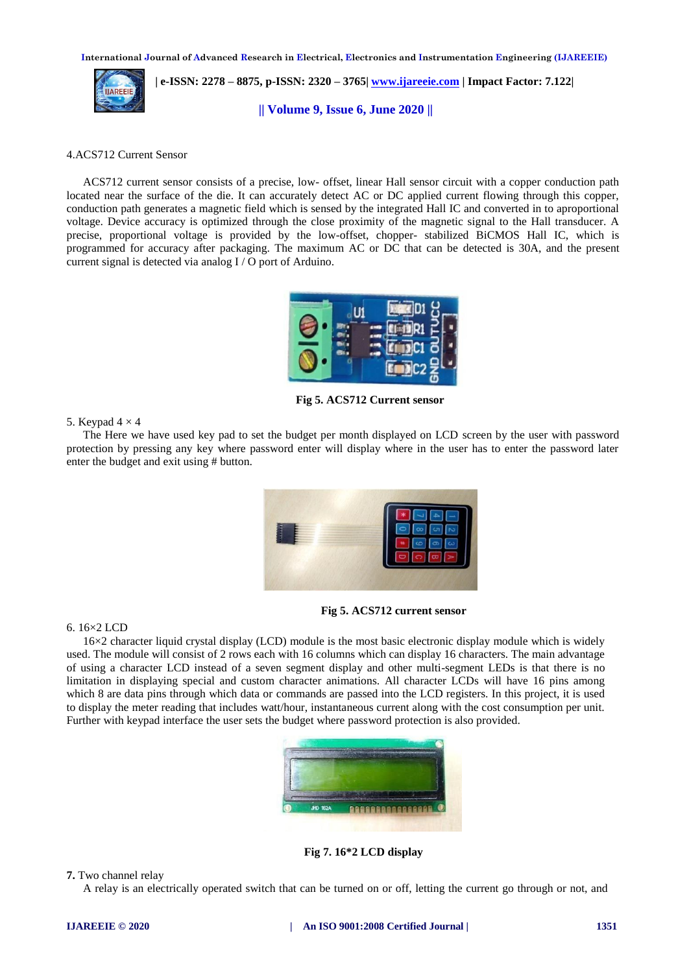

 **| e-ISSN: 2278 – 8875, p-ISSN: 2320 – 3765[| www.ijareeie.com](http://www.ijareeie.com/) | Impact Factor: 7.122|** 

**|| Volume 9, Issue 6, June 2020 ||** 

# 4.ACS712 Current Sensor

ACS712 current sensor consists of a precise, low- offset, linear Hall sensor circuit with a copper conduction path located near the surface of the die. It can accurately detect AC or DC applied current flowing through this copper, conduction path generates a magnetic field which is sensed by the integrated Hall IC and converted in to aproportional voltage. Device accuracy is optimized through the close proximity of the magnetic signal to the Hall transducer. A precise, proportional voltage is provided by the low-offset, chopper- stabilized BiCMOS Hall IC, which is programmed for accuracy after packaging. The maximum AC or DC that can be detected is 30A, and the present current signal is detected via analog I / O port of Arduino.



 **Fig 5. ACS712 Current sensor**

# 5. Keypad  $4 \times 4$

The Here we have used key pad to set the budget per month displayed on LCD screen by the user with password protection by pressing any key where password enter will display where in the user has to enter the password later enter the budget and exit using # button.



**Fig 5. ACS712 current sensor**

# 6. 16×2 LCD

16×2 character liquid crystal display (LCD) module is the most basic electronic display module which is widely used. The module will consist of 2 rows each with 16 columns which can display 16 characters. The main advantage of using a character LCD instead of a seven segment display and other multi-segment LEDs is that there is no limitation in displaying special and custom character animations. All character LCDs will have 16 pins among which 8 are data pins through which data or commands are passed into the LCD registers. In this project, it is used to display the meter reading that includes watt/hour, instantaneous current along with the cost consumption per unit. Further with keypad interface the user sets the budget where password protection is also provided.



 **Fig 7. 16\*2 LCD display**

**7.** Two channel relay

A relay is an electrically operated switch that can be turned on or off, letting the current go through or not, and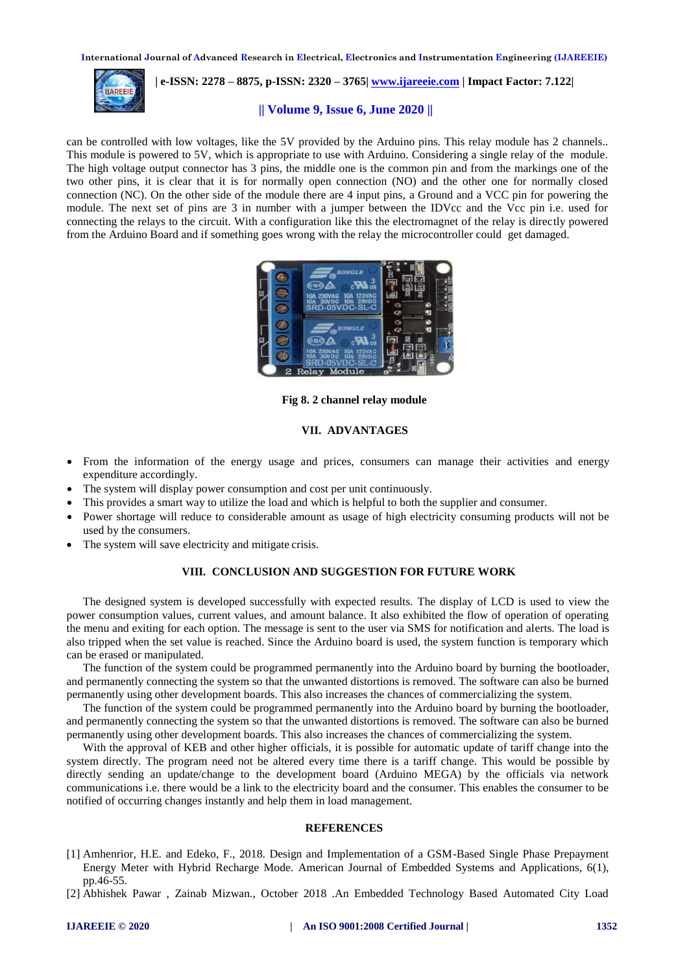

 **| e-ISSN: 2278 – 8875, p-ISSN: 2320 – 3765[| www.ijareeie.com](http://www.ijareeie.com/) | Impact Factor: 7.122|** 

# **|| Volume 9, Issue 6, June 2020 ||**

can be controlled with low voltages, like the 5V provided by the Arduino pins. This relay module has 2 channels.. This module is powered to 5V, which is appropriate to use with Arduino. Considering a single relay of the module. The high voltage output connector has 3 pins, the middle one is the common pin and from the markings one of the two other pins, it is clear that it is for normally open connection (NO) and the other one for normally closed connection (NC). On the other side of the module there are 4 input pins, a Ground and a VCC pin for powering the module. The next set of pins are 3 in number with a jumper between the IDVcc and the Vcc pin i.e. used for connecting the relays to the circuit. With a configuration like this the electromagnet of the relay is directly powered from the Arduino Board and if something goes wrong with the relay the microcontroller could get damaged.



**Fig 8. 2 channel relay module**

# **VII. ADVANTAGES**

- From the information of the energy usage and prices, consumers can manage their activities and energy expenditure accordingly.
- The system will display power consumption and cost per unit continuously.
- This provides a smart way to utilize the load and which is helpful to both the supplier and consumer.
- Power shortage will reduce to considerable amount as usage of high electricity consuming products will not be used by the consumers.
- The system will save electricity and mitigate crisis.

# **VIII. CONCLUSION AND SUGGESTION FOR FUTURE WORK**

The designed system is developed successfully with expected results. The display of LCD is used to view the power consumption values, current values, and amount balance. It also exhibited the flow of operation of operating the menu and exiting for each option. The message is sent to the user via SMS for notification and alerts. The load is also tripped when the set value is reached. Since the Arduino board is used, the system function is temporary which can be erased or manipulated.

The function of the system could be programmed permanently into the Arduino board by burning the bootloader, and permanently connecting the system so that the unwanted distortions is removed. The software can also be burned permanently using other development boards. This also increases the chances of commercializing the system.

The function of the system could be programmed permanently into the Arduino board by burning the bootloader, and permanently connecting the system so that the unwanted distortions is removed. The software can also be burned permanently using other development boards. This also increases the chances of commercializing the system.

With the approval of KEB and other higher officials, it is possible for automatic update of tariff change into the system directly. The program need not be altered every time there is a tariff change. This would be possible by directly sending an update/change to the development board (Arduino MEGA) by the officials via network communications i.e. there would be a link to the electricity board and the consumer. This enables the consumer to be notified of occurring changes instantly and help them in load management.

# **REFERENCES**

- [1] Amhenrior, H.E. and Edeko, F., 2018. Design and Implementation of a GSM-Based Single Phase Prepayment Energy Meter with Hybrid Recharge Mode. American Journal of Embedded Systems and Applications, 6(1), pp.46-55.
- [2] Abhishek Pawar , Zainab Mizwan., October 2018 .An Embedded Technology Based Automated City Load